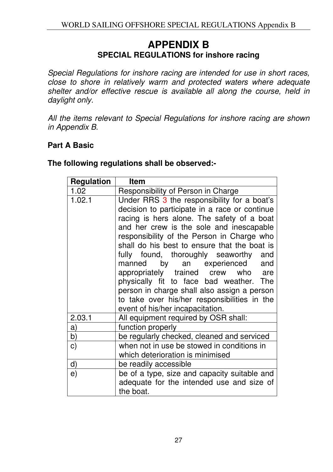## **APPENDIX B SPECIAL REGULATIONS for inshore racing**

Special Regulations for inshore racing are intended for use in short races, close to shore in relatively warm and protected waters where adequate shelter and/or effective rescue is available all along the course, held in daylight only.

All the items relevant to Special Regulations for inshore racing are shown in Appendix B.

## **Part A Basic**

| <b>Regulation</b> | <b>Item</b>                                                                                                                                                                                                                                                                                                                                                                                                                                                                                                                                                                       |
|-------------------|-----------------------------------------------------------------------------------------------------------------------------------------------------------------------------------------------------------------------------------------------------------------------------------------------------------------------------------------------------------------------------------------------------------------------------------------------------------------------------------------------------------------------------------------------------------------------------------|
| 1.02              | Responsibility of Person in Charge                                                                                                                                                                                                                                                                                                                                                                                                                                                                                                                                                |
| 1.02.1            | Under RRS 3 the responsibility for a boat's<br>decision to participate in a race or continue<br>racing is hers alone. The safety of a boat<br>and her crew is the sole and inescapable<br>responsibility of the Person in Charge who<br>shall do his best to ensure that the boat is<br>fully found, thoroughly seaworthy and<br>manned by an experienced and<br>appropriately trained crew who are<br>physically fit to face bad weather. The<br>person in charge shall also assign a person<br>to take over his/her responsibilities in the<br>event of his/her incapacitation. |
| 2.03.1            | All equipment required by OSR shall:                                                                                                                                                                                                                                                                                                                                                                                                                                                                                                                                              |
| a)                | function properly                                                                                                                                                                                                                                                                                                                                                                                                                                                                                                                                                                 |
| b)                | be regularly checked, cleaned and serviced                                                                                                                                                                                                                                                                                                                                                                                                                                                                                                                                        |
| $\mathbf{C}$      | when not in use be stowed in conditions in<br>which deterioration is minimised                                                                                                                                                                                                                                                                                                                                                                                                                                                                                                    |
| d)                | be readily accessible                                                                                                                                                                                                                                                                                                                                                                                                                                                                                                                                                             |
| e)                | be of a type, size and capacity suitable and<br>adequate for the intended use and size of<br>the boat.                                                                                                                                                                                                                                                                                                                                                                                                                                                                            |

**The following regulations shall be observed:-**